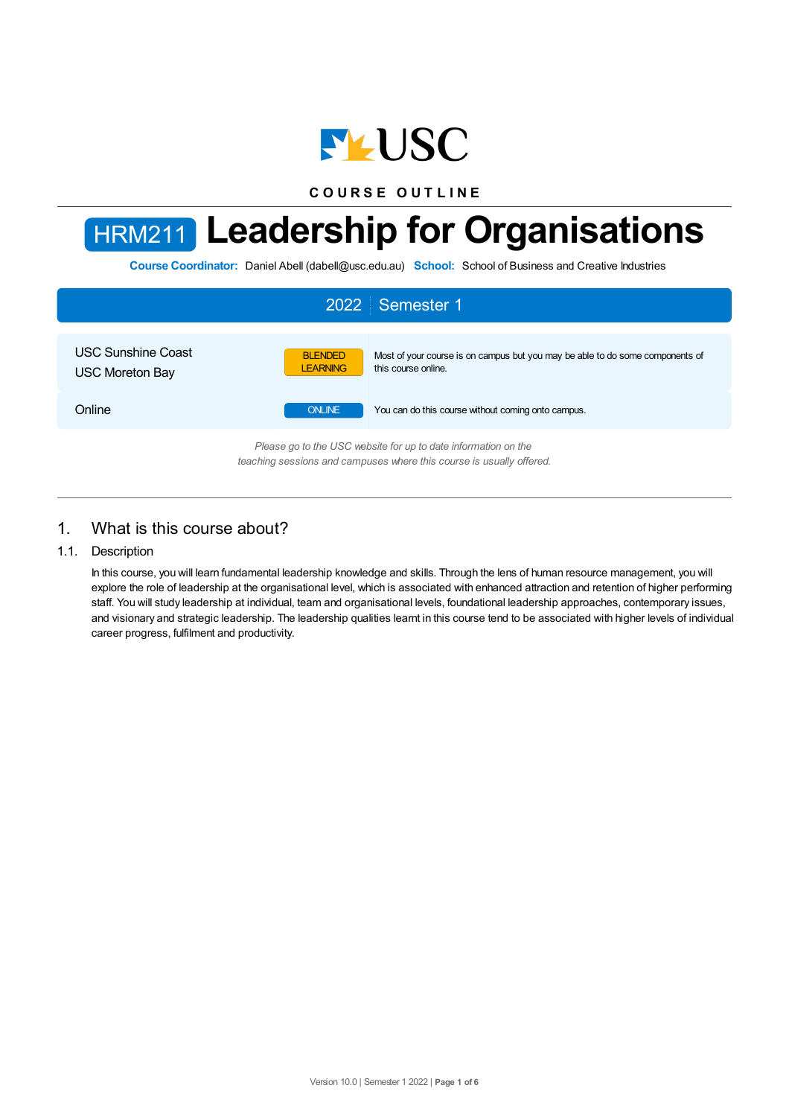

**C O U R S E O U T L I N E**



**Course Coordinator:** Daniel Abell (dabell@usc.edu.au) **School:** School of Business and Creative Industries



## 1. What is this course about?

### 1.1. Description

In this course, you will learn fundamental leadership knowledge and skills. Through the lens of human resource management, you will explore the role of leadership at the organisational level, which is associated with enhanced attraction and retention of higher performing staff. You will study leadership at individual, team and organisational levels, foundational leadership approaches, contemporary issues, and visionary and strategic leadership. The leadership qualities learnt in this course tend to be associated with higher levels of individual career progress, fulfilment and productivity.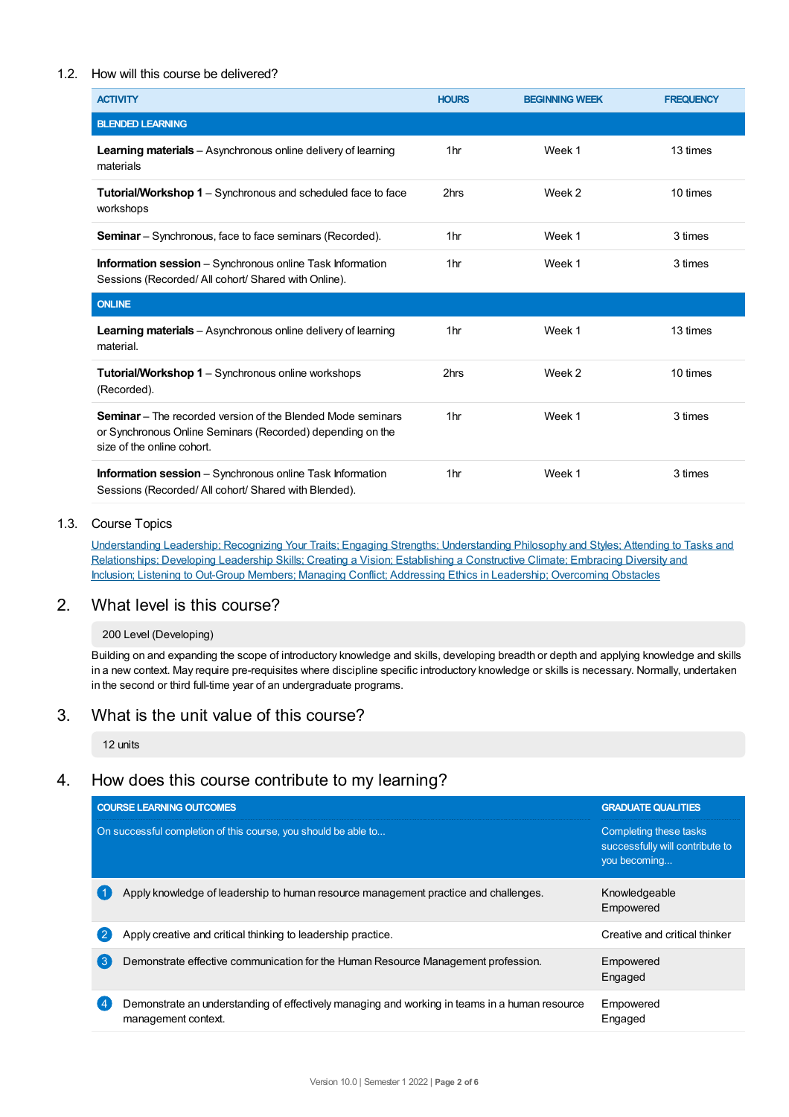### 1.2. How will this course be delivered?

| <b>ACTIVITY</b>                                                                                                                                                | <b>HOURS</b>    | <b>BEGINNING WEEK</b> | <b>FREQUENCY</b> |
|----------------------------------------------------------------------------------------------------------------------------------------------------------------|-----------------|-----------------------|------------------|
| <b>BLENDED LEARNING</b>                                                                                                                                        |                 |                       |                  |
| <b>Learning materials</b> – Asynchronous online delivery of learning<br>materials                                                                              | 1hr             | Week 1                | 13 times         |
| <b>Tutorial/Workshop 1</b> – Synchronous and scheduled face to face<br>workshops                                                                               | 2hrs            | Week 2                | 10 times         |
| <b>Seminar</b> – Synchronous, face to face seminars (Recorded).                                                                                                | 1 <sub>hr</sub> | Week 1                | 3 times          |
| <b>Information session</b> – Synchronous online Task Information<br>Sessions (Recorded/All cohort/Shared with Online).                                         | 1 <sub>hr</sub> | Week 1                | 3 times          |
| <b>ONLINE</b>                                                                                                                                                  |                 |                       |                  |
| Learning materials - Asynchronous online delivery of learning<br>material.                                                                                     | 1 <sub>hr</sub> | Week 1                | 13 times         |
| <b>Tutorial/Workshop 1</b> – Synchronous online workshops<br>(Recorded).                                                                                       | 2hrs            | Week 2                | 10 times         |
| <b>Seminar</b> – The recorded version of the Blended Mode seminars<br>or Synchronous Online Seminars (Recorded) depending on the<br>size of the online cohort. | 1 <sub>hr</sub> | Week 1                | 3 times          |
| <b>Information session</b> – Synchronous online Task Information<br>Sessions (Recorded/All cohort/Shared with Blended).                                        | 1 <sub>hr</sub> | Week 1                | 3 times          |

### 1.3. Course Topics

Understanding Leadership; Recognizing Your Traits; Engaging Strengths; Understanding Philosophy and Styles; Attending to Tasks and Relationships; Developing Leadership Skills; Creating a Vision; Establishing a Constructive Climate; Embracing Diversity and Inclusion; Listening to Out-Group Members; Managing Conflict; Addressing Ethics in Leadership; Overcoming Obstacles

### 2. What level is this course?

### 200 Level (Developing)

Building on and expanding the scope of introductory knowledge and skills, developing breadth or depth and applying knowledge and skills in a new context. May require pre-requisites where discipline specific introductory knowledge or skills is necessary. Normally, undertaken in the second or third full-time year of an undergraduate programs.

### 3. What is the unit value of this course?

12 units

# 4. How does this course contribute to my learning?

|                  | <b>COURSE LEARNING OUTCOMES</b>                                                                                      | <b>GRADUATE QUALITIES</b>                                                 |  |
|------------------|----------------------------------------------------------------------------------------------------------------------|---------------------------------------------------------------------------|--|
|                  | On successful completion of this course, you should be able to                                                       | Completing these tasks<br>successfully will contribute to<br>you becoming |  |
|                  | Apply knowledge of leadership to human resource management practice and challenges.                                  | Knowledgeable<br>Empowered                                                |  |
| 2                | Apply creative and critical thinking to leadership practice.                                                         | Creative and critical thinker                                             |  |
| $\left(3\right)$ | Demonstrate effective communication for the Human Resource Management profession.                                    | Empowered<br>Engaged                                                      |  |
| 4                | Demonstrate an understanding of effectively managing and working in teams in a human resource<br>management context. | Empowered<br>Engaged                                                      |  |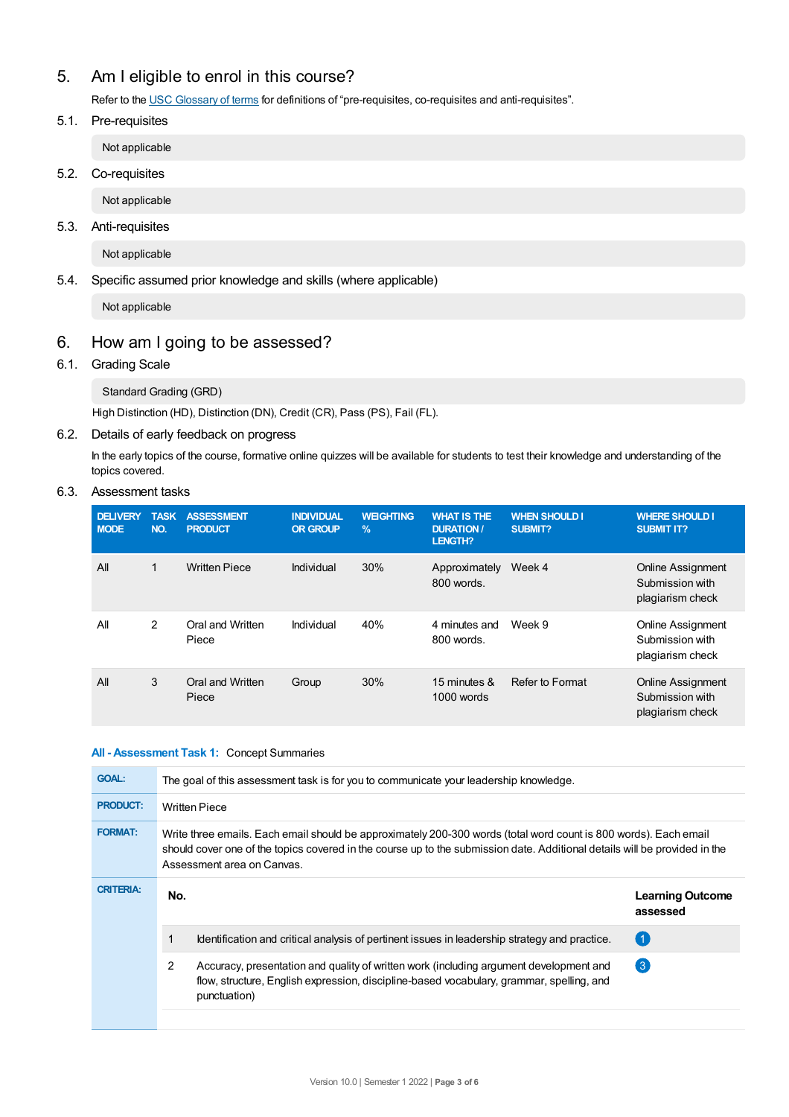# 5. Am Ieligible to enrol in this course?

Refer to the USC [Glossary](https://www.usc.edu.au/about/policies-and-procedures/glossary-of-terms-for-policy-and-procedures) of terms for definitions of "pre-requisites, co-requisites and anti-requisites".

5.1. Pre-requisites

Not applicable

5.2. Co-requisites

Not applicable

5.3. Anti-requisites

Not applicable

5.4. Specific assumed prior knowledge and skills (where applicable)

Not applicable

# 6. How am Igoing to be assessed?

### 6.1. Grading Scale

Standard Grading (GRD)

High Distinction (HD), Distinction (DN), Credit (CR), Pass (PS), Fail (FL).

### 6.2. Details of early feedback on progress

In the early topics of the course, formative online quizzes will be available for students to test their knowledge and understanding of the topics covered.

### 6.3. Assessment tasks

| <b>DELIVERY</b><br><b>MODE</b> | <b>TASK</b><br>NO. | <b>ASSESSMENT</b><br><b>PRODUCT</b> | <b>INDIVIDUAL</b><br><b>OR GROUP</b> | <b>WEIGHTING</b><br>$\%$ | <b>WHAT IS THE</b><br><b>DURATION /</b><br><b>LENGTH?</b> | <b>WHEN SHOULD I</b><br><b>SUBMIT?</b> | <b>WHERE SHOULD I</b><br><b>SUBMIT IT?</b>                      |
|--------------------------------|--------------------|-------------------------------------|--------------------------------------|--------------------------|-----------------------------------------------------------|----------------------------------------|-----------------------------------------------------------------|
| All                            | 1                  | <b>Written Piece</b>                | Individual                           | 30%                      | Approximately<br>800 words.                               | Week 4                                 | <b>Online Assignment</b><br>Submission with<br>plagiarism check |
| All                            | 2                  | Oral and Written<br>Piece           | Individual                           | 40%                      | 4 minutes and<br>800 words.                               | Week 9                                 | Online Assignment<br>Submission with<br>plagiarism check        |
| All                            | 3                  | Oral and Written<br>Piece           | Group                                | 30%                      | 15 minutes &<br>1000 words                                | Refer to Format                        | <b>Online Assignment</b><br>Submission with<br>plagiarism check |

### **All - Assessment Task 1:** Concept Summaries

| The goal of this assessment task is for you to communicate your leadership knowledge.                                                                                                                                                                                        |                                                                                                                                                                                                    |                                     |  |  |
|------------------------------------------------------------------------------------------------------------------------------------------------------------------------------------------------------------------------------------------------------------------------------|----------------------------------------------------------------------------------------------------------------------------------------------------------------------------------------------------|-------------------------------------|--|--|
| <b>Written Piece</b>                                                                                                                                                                                                                                                         |                                                                                                                                                                                                    |                                     |  |  |
| Write three emails. Each email should be approximately 200-300 words (total word count is 800 words). Each email<br>should cover one of the topics covered in the course up to the submission date. Additional details will be provided in the<br>Assessment area on Canvas. |                                                                                                                                                                                                    |                                     |  |  |
| No.                                                                                                                                                                                                                                                                          |                                                                                                                                                                                                    | <b>Learning Outcome</b><br>assessed |  |  |
|                                                                                                                                                                                                                                                                              | Identification and critical analysis of pertinent issues in leadership strategy and practice.                                                                                                      | (1                                  |  |  |
| 2                                                                                                                                                                                                                                                                            | Accuracy, presentation and quality of written work (including argument development and<br>flow, structure, English expression, discipline-based vocabulary, grammar, spelling, and<br>punctuation) | $\left(3\right)$                    |  |  |
|                                                                                                                                                                                                                                                                              |                                                                                                                                                                                                    |                                     |  |  |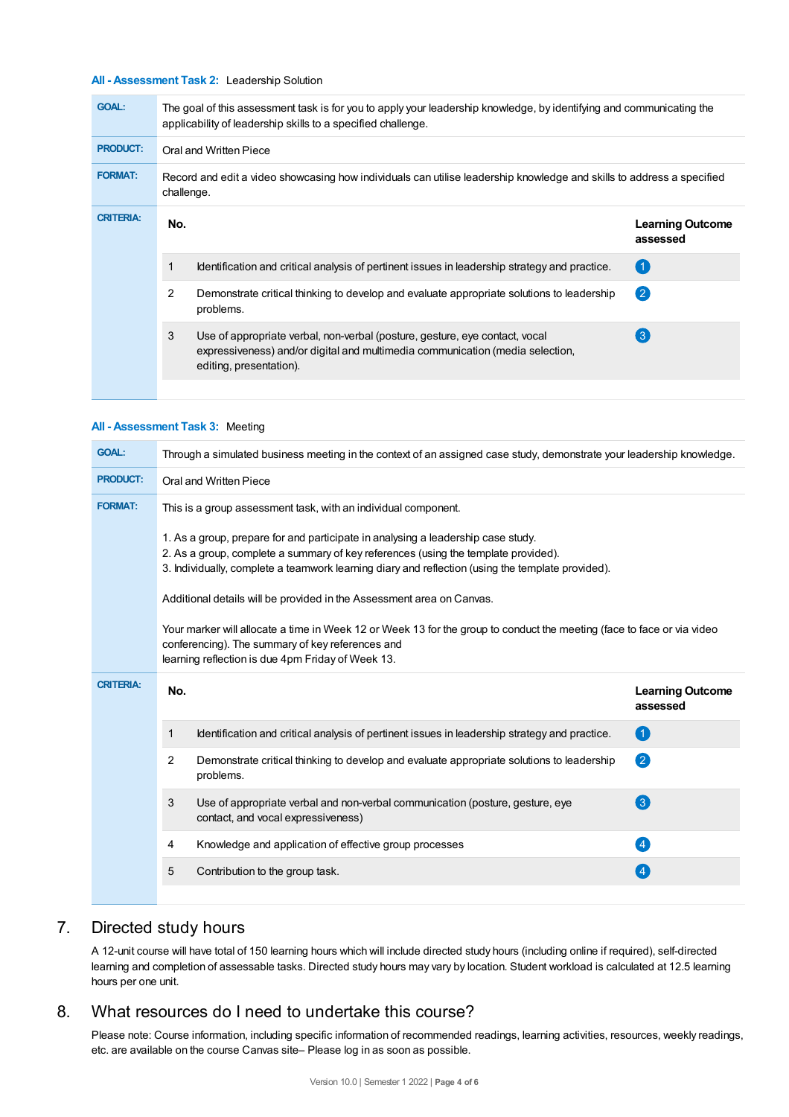### **All - Assessment Task 2:** Leadership Solution

| <b>GOAL:</b>     | The goal of this assessment task is for you to apply your leadership knowledge, by identifying and communicating the<br>applicability of leadership skills to a specified challenge. |                                                                                                                                                                                         |                                     |  |  |  |
|------------------|--------------------------------------------------------------------------------------------------------------------------------------------------------------------------------------|-----------------------------------------------------------------------------------------------------------------------------------------------------------------------------------------|-------------------------------------|--|--|--|
| <b>PRODUCT:</b>  | Oral and Written Piece                                                                                                                                                               |                                                                                                                                                                                         |                                     |  |  |  |
| <b>FORMAT:</b>   | Record and edit a video showcasing how individuals can utilise leadership knowledge and skills to address a specified<br>challenge.                                                  |                                                                                                                                                                                         |                                     |  |  |  |
| <b>CRITERIA:</b> | No.                                                                                                                                                                                  |                                                                                                                                                                                         | <b>Learning Outcome</b><br>assessed |  |  |  |
|                  |                                                                                                                                                                                      | Identification and critical analysis of pertinent issues in leadership strategy and practice.                                                                                           | 〔1                                  |  |  |  |
|                  | 2                                                                                                                                                                                    | Demonstrate critical thinking to develop and evaluate appropriate solutions to leadership<br>problems.                                                                                  | $\left( 2\right)$                   |  |  |  |
|                  | 3                                                                                                                                                                                    | Use of appropriate verbal, non-verbal (posture, gesture, eye contact, vocal<br>expressiveness) and/or digital and multimedia communication (media selection,<br>editing, presentation). | $\left(3\right)$                    |  |  |  |
|                  |                                                                                                                                                                                      |                                                                                                                                                                                         |                                     |  |  |  |

### **All - Assessment Task 3:** Meeting

| <b>GOAL:</b>     | Through a simulated business meeting in the context of an assigned case study, demonstrate your leadership knowledge.                                                                                                                                                       |                                                                                                                     |                                     |  |  |  |
|------------------|-----------------------------------------------------------------------------------------------------------------------------------------------------------------------------------------------------------------------------------------------------------------------------|---------------------------------------------------------------------------------------------------------------------|-------------------------------------|--|--|--|
| <b>PRODUCT:</b>  | Oral and Written Piece                                                                                                                                                                                                                                                      |                                                                                                                     |                                     |  |  |  |
| <b>FORMAT:</b>   | This is a group assessment task, with an individual component.                                                                                                                                                                                                              |                                                                                                                     |                                     |  |  |  |
|                  | 1. As a group, prepare for and participate in analysing a leadership case study.<br>2. As a group, complete a summary of key references (using the template provided).<br>3. Individually, complete a teamwork learning diary and reflection (using the template provided). |                                                                                                                     |                                     |  |  |  |
|                  |                                                                                                                                                                                                                                                                             | Additional details will be provided in the Assessment area on Canvas.                                               |                                     |  |  |  |
|                  | Your marker will allocate a time in Week 12 or Week 13 for the group to conduct the meeting (face to face or via video<br>conferencing). The summary of key references and<br>learning reflection is due 4pm Friday of Week 13.                                             |                                                                                                                     |                                     |  |  |  |
|                  |                                                                                                                                                                                                                                                                             |                                                                                                                     |                                     |  |  |  |
| <b>CRITERIA:</b> | No.                                                                                                                                                                                                                                                                         |                                                                                                                     | <b>Learning Outcome</b><br>assessed |  |  |  |
|                  | 1                                                                                                                                                                                                                                                                           | Identification and critical analysis of pertinent issues in leadership strategy and practice.                       | $\blacksquare$                      |  |  |  |
|                  | 2                                                                                                                                                                                                                                                                           | Demonstrate critical thinking to develop and evaluate appropriate solutions to leadership<br>problems.              | 2                                   |  |  |  |
|                  | 3                                                                                                                                                                                                                                                                           | Use of appropriate verbal and non-verbal communication (posture, gesture, eye<br>contact, and vocal expressiveness) | $\left(3\right)$                    |  |  |  |
|                  | 4                                                                                                                                                                                                                                                                           | Knowledge and application of effective group processes                                                              | $\overline{4}$                      |  |  |  |
|                  | 5                                                                                                                                                                                                                                                                           | Contribution to the group task.                                                                                     |                                     |  |  |  |

## 7. Directed study hours

A 12-unit course will have total of 150 learning hours which will include directed study hours (including online if required), self-directed learning and completion of assessable tasks. Directed study hours may vary by location. Student workload is calculated at 12.5 learning hours per one unit.

## 8. What resources do I need to undertake this course?

Please note: Course information, including specific information of recommended readings, learning activities, resources, weekly readings, etc. are available on the course Canvas site– Please log in as soon as possible.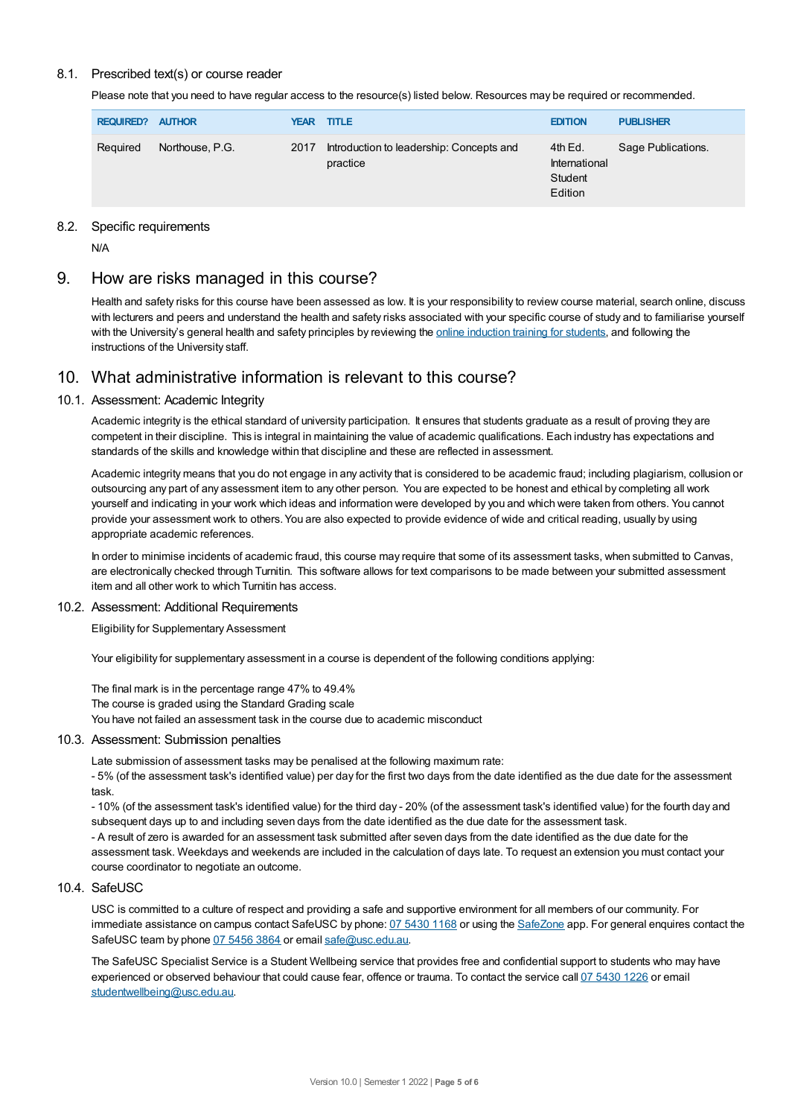### 8.1. Prescribed text(s) or course reader

Please note that you need to have regular access to the resource(s) listed below. Resources may be required or recommended.

| <b>REQUIRED? AUTHOR</b> |                 |      | <b>YEAR TITLE</b>                                    | <b>EDITION</b>                                 | <b>PUBLISHER</b>   |
|-------------------------|-----------------|------|------------------------------------------------------|------------------------------------------------|--------------------|
| Required                | Northouse, P.G. | 2017 | Introduction to leadership: Concepts and<br>practice | 4th Ed.<br>International<br>Student<br>Edition | Sage Publications. |

### 8.2. Specific requirements

N/A

### 9. How are risks managed in this course?

Health and safety risks for this course have been assessed as low. It is your responsibility to review course material, search online, discuss with lecturers and peers and understand the health and safety risks associated with your specific course of study and to familiarise yourself with the University's general health and safety principles by reviewing the online [induction](https://online.usc.edu.au/webapps/blackboard/content/listContentEditable.jsp?content_id=_632657_1&course_id=_14432_1) training for students, and following the instructions of the University staff.

### 10. What administrative information is relevant to this course?

### 10.1. Assessment: Academic Integrity

Academic integrity is the ethical standard of university participation. It ensures that students graduate as a result of proving they are competent in their discipline. This is integral in maintaining the value of academic qualifications. Each industry has expectations and standards of the skills and knowledge within that discipline and these are reflected in assessment.

Academic integrity means that you do not engage in any activity that is considered to be academic fraud; including plagiarism, collusion or outsourcing any part of any assessment item to any other person. You are expected to be honest and ethical by completing all work yourself and indicating in your work which ideas and information were developed by you and which were taken from others. You cannot provide your assessment work to others. You are also expected to provide evidence of wide and critical reading, usually by using appropriate academic references.

In order to minimise incidents of academic fraud, this course may require that some of its assessment tasks, when submitted to Canvas, are electronically checked through Turnitin. This software allows for text comparisons to be made between your submitted assessment item and all other work to which Turnitin has access.

### 10.2. Assessment: Additional Requirements

Eligibility for Supplementary Assessment

Your eligibility for supplementary assessment in a course is dependent of the following conditions applying:

The final mark is in the percentage range 47% to 49.4% The course is graded using the Standard Grading scale You have not failed an assessment task in the course due to academic misconduct

### 10.3. Assessment: Submission penalties

Late submission of assessment tasks may be penalised at the following maximum rate:

- 5% (of the assessment task's identified value) per day for the first two days from the date identified as the due date for the assessment task.

- 10% (of the assessment task's identified value) for the third day - 20% (of the assessment task's identified value) for the fourth day and subsequent days up to and including seven days from the date identified as the due date for the assessment task.

- A result of zero is awarded for an assessment task submitted after seven days from the date identified as the due date for the assessment task. Weekdays and weekends are included in the calculation of days late. To request an extension you must contact your course coordinator to negotiate an outcome.

### 10.4 SafeLISC

USC is committed to a culture of respect and providing a safe and supportive environment for all members of our community. For immediate assistance on campus contact SafeUSC by phone: 07 [5430](tel:07%205430%201168) 1168 or using the [SafeZone](https://www.safezoneapp.com) app. For general enquires contact the SafeUSC team by phone 07 [5456](tel:07%205456%203864) 3864 or email [safe@usc.edu.au](mailto:safe@usc.edu.au).

The SafeUSC Specialist Service is a Student Wellbeing service that provides free and confidential support to students who may have experienced or observed behaviour that could cause fear, offence or trauma. To contact the service call 07 [5430](tel:07%205430%201226) 1226 or email [studentwellbeing@usc.edu.au](mailto:studentwellbeing@usc.edu.au).